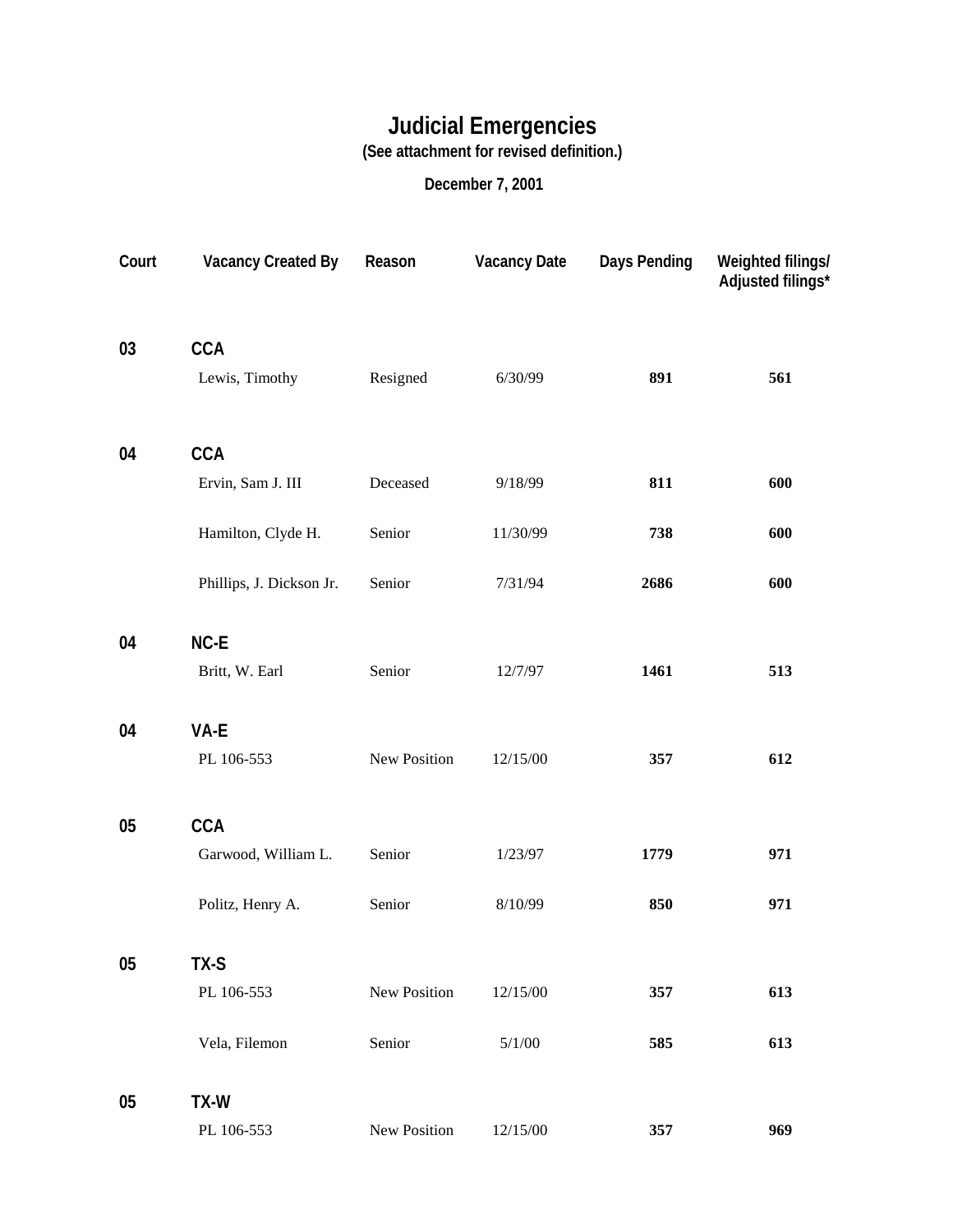## **Judicial Emergencies**

**(See attachment for revised definition.)**

## **December 7, 2001**

| Court | <b>Vacancy Created By</b> | Reason       | <b>Vacancy Date</b> | <b>Days Pending</b> | Weighted filings/<br>Adjusted filings* |
|-------|---------------------------|--------------|---------------------|---------------------|----------------------------------------|
| 03    | <b>CCA</b>                |              |                     |                     |                                        |
|       | Lewis, Timothy            | Resigned     | 6/30/99             | 891                 | 561                                    |
| 04    | <b>CCA</b>                |              |                     |                     |                                        |
|       | Ervin, Sam J. III         | Deceased     | 9/18/99             | 811                 | 600                                    |
|       | Hamilton, Clyde H.        | Senior       | 11/30/99            | 738                 | 600                                    |
|       | Phillips, J. Dickson Jr.  | Senior       | 7/31/94             | 2686                | 600                                    |
| 04    | NC-E                      |              |                     |                     |                                        |
|       | Britt, W. Earl            | Senior       | 12/7/97             | 1461                | 513                                    |
| 04    | VA-E                      |              |                     |                     |                                        |
|       | PL 106-553                | New Position | 12/15/00            | 357                 | 612                                    |
| 05    | <b>CCA</b>                |              |                     |                     |                                        |
|       | Garwood, William L.       | Senior       | 1/23/97             | 1779                | 971                                    |
|       | Politz, Henry A.          | Senior       | 8/10/99             | 850                 | 971                                    |
| 05    | TX-S                      |              |                     |                     |                                        |
|       | PL 106-553                | New Position | 12/15/00            | 357                 | 613                                    |
|       | Vela, Filemon             | Senior       | 5/1/00              | 585                 | 613                                    |
| 05    | TX-W                      |              |                     |                     |                                        |
|       | PL 106-553                | New Position | 12/15/00            | 357                 | 969                                    |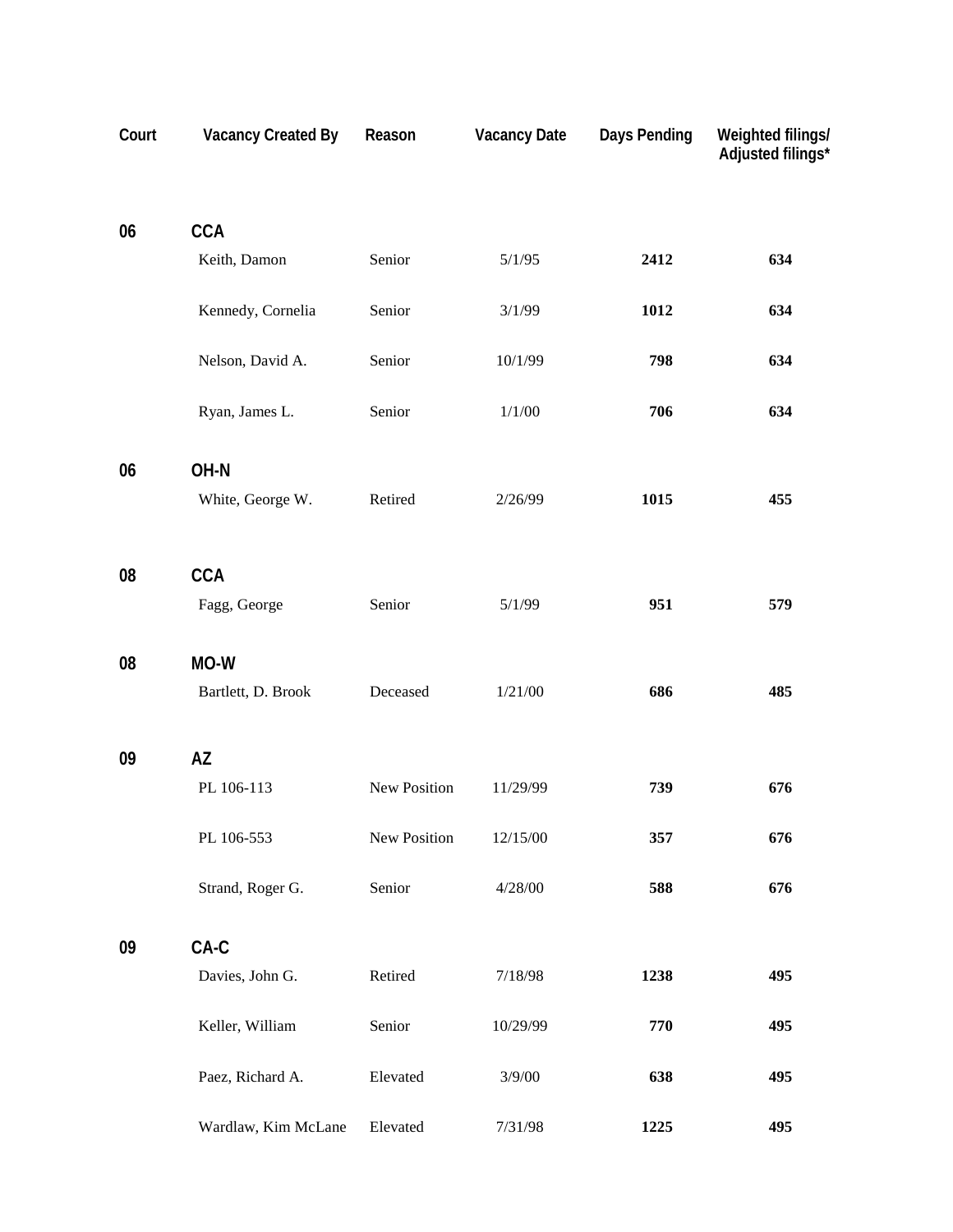| Court | <b>Vacancy Created By</b> | Reason       | <b>Vacancy Date</b> | <b>Days Pending</b> | Weighted filings/<br>Adjusted filings* |
|-------|---------------------------|--------------|---------------------|---------------------|----------------------------------------|
| 06    | <b>CCA</b>                |              |                     |                     |                                        |
|       | Keith, Damon              | Senior       | 5/1/95              | 2412                | 634                                    |
|       | Kennedy, Cornelia         | Senior       | 3/1/99              | 1012                | 634                                    |
|       | Nelson, David A.          | Senior       | 10/1/99             | 798                 | 634                                    |
|       | Ryan, James L.            | Senior       | 1/1/00              | 706                 | 634                                    |
| 06    | OH-N                      |              |                     |                     |                                        |
|       | White, George W.          | Retired      | 2/26/99             | 1015                | 455                                    |
| 08    | <b>CCA</b>                |              |                     |                     |                                        |
|       | Fagg, George              | Senior       | 5/1/99              | 951                 | 579                                    |
| 08    | MO-W                      |              |                     |                     |                                        |
|       | Bartlett, D. Brook        | Deceased     | 1/21/00             | 686                 | 485                                    |
| 09    | <b>AZ</b>                 |              |                     |                     |                                        |
|       | PL 106-113                | New Position | 11/29/99            | 739                 | 676                                    |
|       | PL 106-553                | New Position | 12/15/00            | 357                 | 676                                    |
|       | Strand, Roger G.          | Senior       | 4/28/00             | 588                 | 676                                    |
| 09    | $CA-C$                    |              |                     |                     |                                        |
|       | Davies, John G.           | Retired      | 7/18/98             | 1238                | 495                                    |
|       | Keller, William           | Senior       | 10/29/99            | 770                 | 495                                    |
|       | Paez, Richard A.          | Elevated     | 3/9/00              | 638                 | 495                                    |
|       | Wardlaw, Kim McLane       | Elevated     | 7/31/98             | 1225                | 495                                    |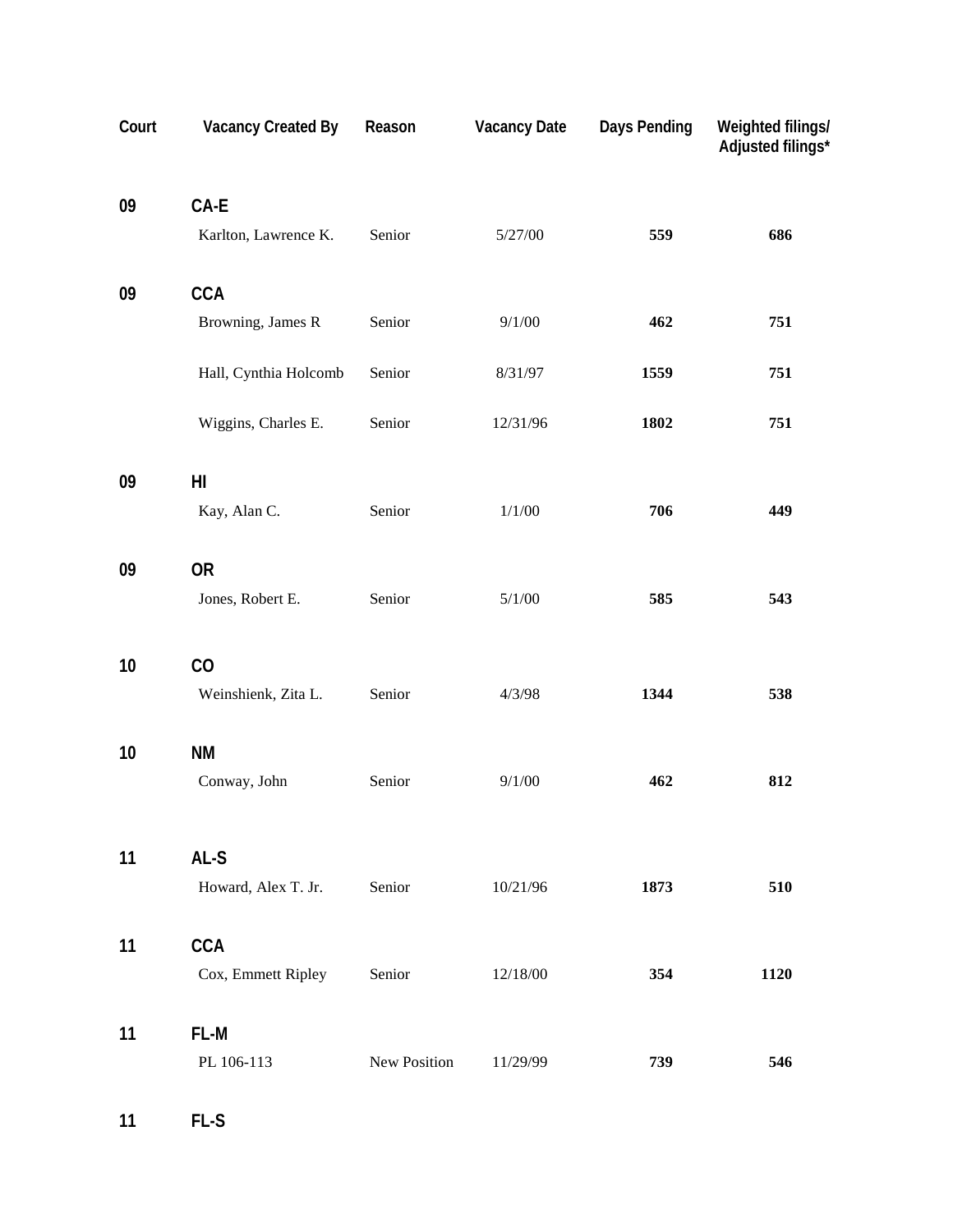| Court | <b>Vacancy Created By</b> | Reason       | <b>Vacancy Date</b> | <b>Days Pending</b> | Weighted filings/<br>Adjusted filings* |
|-------|---------------------------|--------------|---------------------|---------------------|----------------------------------------|
| 09    | CA-E                      |              |                     |                     |                                        |
|       | Karlton, Lawrence K.      | Senior       | 5/27/00             | 559                 | 686                                    |
| 09    | <b>CCA</b>                |              |                     |                     |                                        |
|       | Browning, James R         | Senior       | 9/1/00              | 462                 | 751                                    |
|       | Hall, Cynthia Holcomb     | Senior       | 8/31/97             | 1559                | 751                                    |
|       | Wiggins, Charles E.       | Senior       | 12/31/96            | 1802                | 751                                    |
| 09    | H <sub>l</sub>            |              |                     |                     |                                        |
|       | Kay, Alan C.              | Senior       | 1/1/00              | 706                 | 449                                    |
| 09    | <b>OR</b>                 |              |                     |                     |                                        |
|       | Jones, Robert E.          | Senior       | 5/1/00              | 585                 | 543                                    |
| 10    | CO                        |              |                     |                     |                                        |
|       | Weinshienk, Zita L.       | Senior       | 4/3/98              | 1344                | 538                                    |
| 10    | <b>NM</b>                 |              |                     |                     |                                        |
|       | Conway, John              | Senior       | 9/1/00              | 462                 | 812                                    |
| 11    | AL-S                      |              |                     |                     |                                        |
|       | Howard, Alex T. Jr.       | Senior       | 10/21/96            | 1873                | 510                                    |
| 11    | <b>CCA</b>                |              |                     |                     |                                        |
|       | Cox, Emmett Ripley        | Senior       | 12/18/00            | 354                 | 1120                                   |
| 11    | FL-M                      |              |                     |                     |                                        |
|       | PL 106-113                | New Position | 11/29/99            | 739                 | 546                                    |

**11 FL-S**